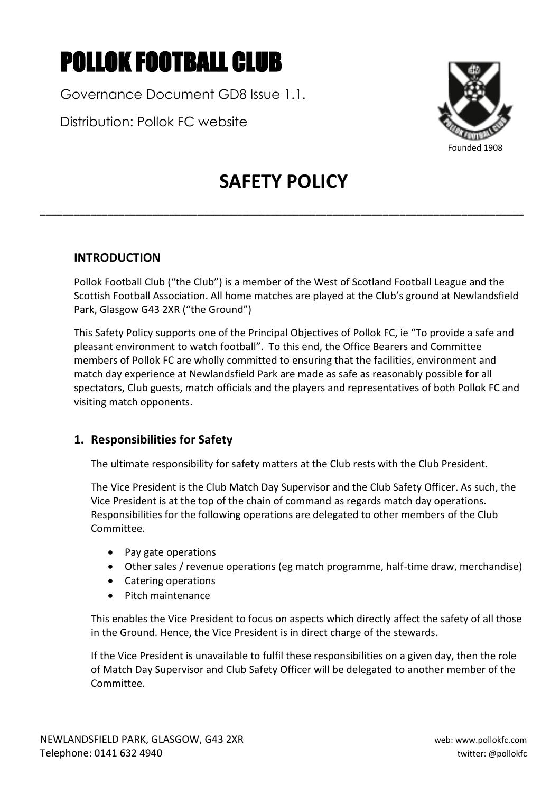# POLLOK FOOTBALL CLUB

Governance Document GD8 Issue 1.1.

Distribution: Pollok FC website



# **SAFETY POLICY**

**\_\_\_\_\_\_\_\_\_\_\_\_\_\_\_\_\_\_\_\_\_\_\_\_\_\_\_\_\_\_\_\_\_\_\_\_\_\_\_\_\_\_\_\_\_\_\_\_\_\_\_\_\_\_\_\_\_\_\_\_\_\_\_\_\_\_\_\_\_\_\_\_\_\_\_\_\_\_\_\_\_\_\_\_\_\_**

# **INTRODUCTION**

Pollok Football Club ("the Club") is a member of the West of Scotland Football League and the Scottish Football Association. All home matches are played at the Club's ground at Newlandsfield Park, Glasgow G43 2XR ("the Ground")

This Safety Policy supports one of the Principal Objectives of Pollok FC, ie "To provide a safe and pleasant environment to watch football". To this end, the Office Bearers and Committee members of Pollok FC are wholly committed to ensuring that the facilities, environment and match day experience at Newlandsfield Park are made as safe as reasonably possible for all spectators, Club guests, match officials and the players and representatives of both Pollok FC and visiting match opponents.

# **1. Responsibilities for Safety**

The ultimate responsibility for safety matters at the Club rests with the Club President.

The Vice President is the Club Match Day Supervisor and the Club Safety Officer. As such, the Vice President is at the top of the chain of command as regards match day operations. Responsibilities for the following operations are delegated to other members of the Club Committee.

- Pay gate operations
- Other sales / revenue operations (eg match programme, half-time draw, merchandise)
- Catering operations
- Pitch maintenance

This enables the Vice President to focus on aspects which directly affect the safety of all those in the Ground. Hence, the Vice President is in direct charge of the stewards.

If the Vice President is unavailable to fulfil these responsibilities on a given day, then the role of Match Day Supervisor and Club Safety Officer will be delegated to another member of the Committee.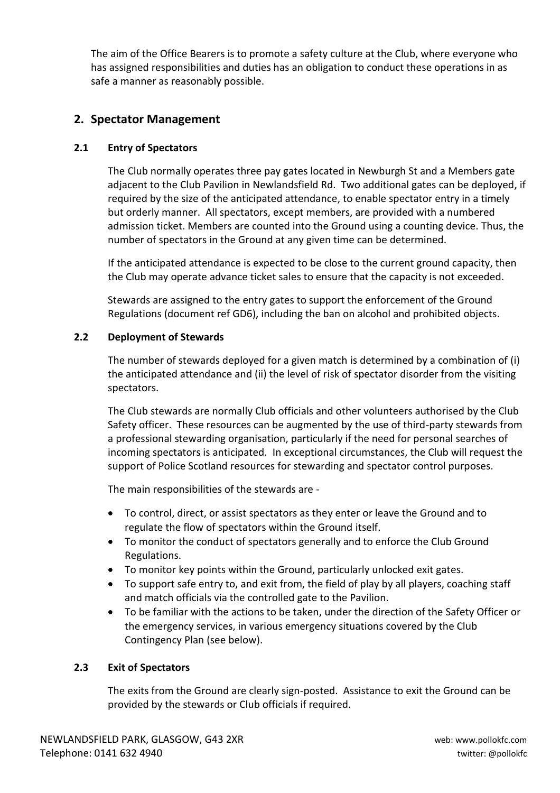The aim of the Office Bearers is to promote a safety culture at the Club, where everyone who has assigned responsibilities and duties has an obligation to conduct these operations in as safe a manner as reasonably possible.

# **2. Spectator Management**

#### **2.1 Entry of Spectators**

The Club normally operates three pay gates located in Newburgh St and a Members gate adjacent to the Club Pavilion in Newlandsfield Rd. Two additional gates can be deployed, if required by the size of the anticipated attendance, to enable spectator entry in a timely but orderly manner. All spectators, except members, are provided with a numbered admission ticket. Members are counted into the Ground using a counting device. Thus, the number of spectators in the Ground at any given time can be determined.

If the anticipated attendance is expected to be close to the current ground capacity, then the Club may operate advance ticket sales to ensure that the capacity is not exceeded.

Stewards are assigned to the entry gates to support the enforcement of the Ground Regulations (document ref GD6), including the ban on alcohol and prohibited objects.

#### **2.2 Deployment of Stewards**

The number of stewards deployed for a given match is determined by a combination of (i) the anticipated attendance and (ii) the level of risk of spectator disorder from the visiting spectators.

The Club stewards are normally Club officials and other volunteers authorised by the Club Safety officer. These resources can be augmented by the use of third-party stewards from a professional stewarding organisation, particularly if the need for personal searches of incoming spectators is anticipated. In exceptional circumstances, the Club will request the support of Police Scotland resources for stewarding and spectator control purposes.

The main responsibilities of the stewards are -

- To control, direct, or assist spectators as they enter or leave the Ground and to regulate the flow of spectators within the Ground itself.
- To monitor the conduct of spectators generally and to enforce the Club Ground Regulations.
- To monitor key points within the Ground, particularly unlocked exit gates.
- To support safe entry to, and exit from, the field of play by all players, coaching staff and match officials via the controlled gate to the Pavilion.
- To be familiar with the actions to be taken, under the direction of the Safety Officer or the emergency services, in various emergency situations covered by the Club Contingency Plan (see below).

#### **2.3 Exit of Spectators**

The exits from the Ground are clearly sign-posted. Assistance to exit the Ground can be provided by the stewards or Club officials if required.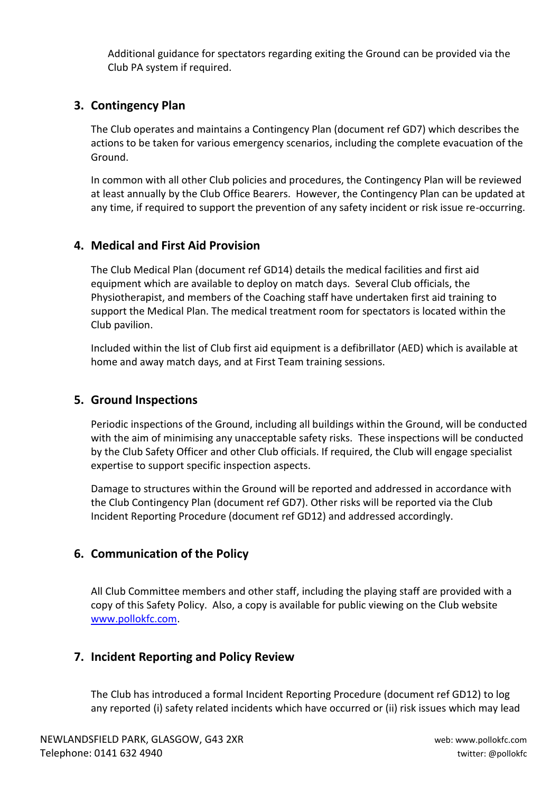Additional guidance for spectators regarding exiting the Ground can be provided via the Club PA system if required.

## **3. Contingency Plan**

The Club operates and maintains a Contingency Plan (document ref GD7) which describes the actions to be taken for various emergency scenarios, including the complete evacuation of the Ground.

In common with all other Club policies and procedures, the Contingency Plan will be reviewed at least annually by the Club Office Bearers. However, the Contingency Plan can be updated at any time, if required to support the prevention of any safety incident or risk issue re-occurring.

### **4. Medical and First Aid Provision**

The Club Medical Plan (document ref GD14) details the medical facilities and first aid equipment which are available to deploy on match days. Several Club officials, the Physiotherapist, and members of the Coaching staff have undertaken first aid training to support the Medical Plan. The medical treatment room for spectators is located within the Club pavilion.

Included within the list of Club first aid equipment is a defibrillator (AED) which is available at home and away match days, and at First Team training sessions.

#### **5. Ground Inspections**

Periodic inspections of the Ground, including all buildings within the Ground, will be conducted with the aim of minimising any unacceptable safety risks. These inspections will be conducted by the Club Safety Officer and other Club officials. If required, the Club will engage specialist expertise to support specific inspection aspects.

Damage to structures within the Ground will be reported and addressed in accordance with the Club Contingency Plan (document ref GD7). Other risks will be reported via the Club Incident Reporting Procedure (document ref GD12) and addressed accordingly.

# **6. Communication of the Policy**

All Club Committee members and other staff, including the playing staff are provided with a copy of this Safety Policy. Also, a copy is available for public viewing on the Club website [www.pollokfc.com.](http://www.pollokfc.com/)

#### **7. Incident Reporting and Policy Review**

The Club has introduced a formal Incident Reporting Procedure (document ref GD12) to log any reported (i) safety related incidents which have occurred or (ii) risk issues which may lead